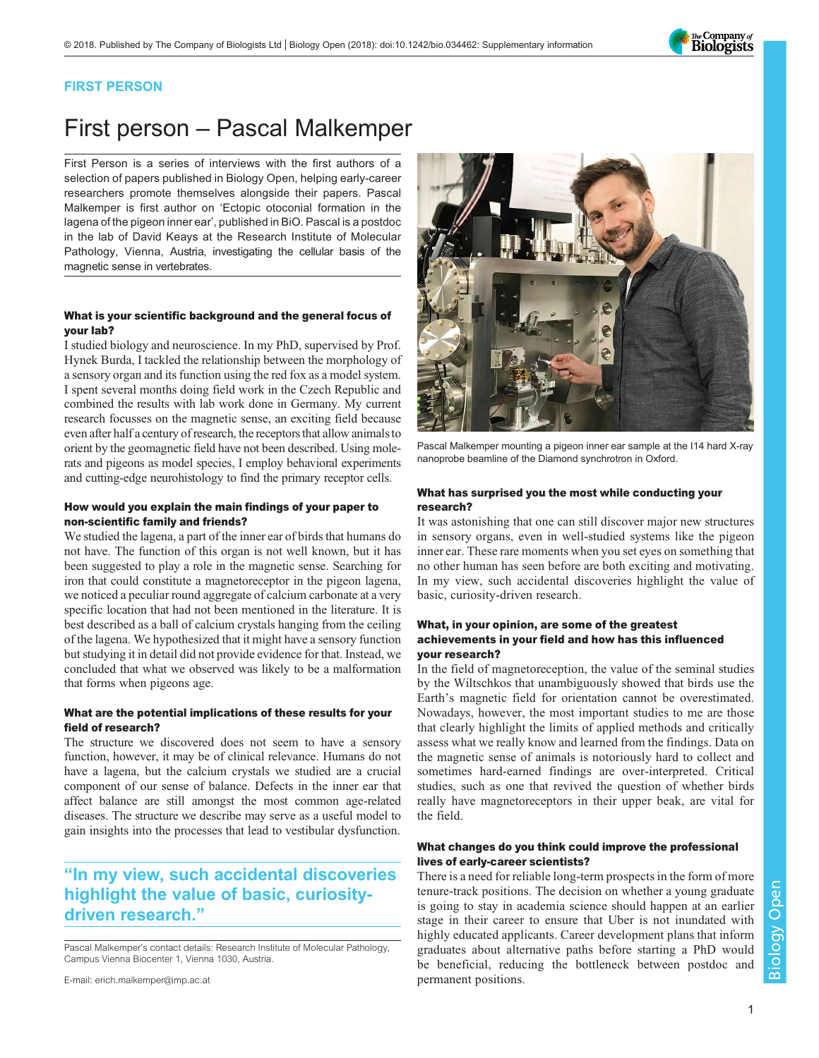

## FIRST PERSON

# First person – Pascal Malkemper

First Person is a series of interviews with the first authors of a selection of papers published in Biology Open, helping early-career researchers promote themselves alongside their papers. Pascal Malkemper is first author on '[Ectopic otoconial formation in the](#page-1-0) [lagena of the pigeon inner ear](#page-1-0)', published in BiO. Pascal is a postdoc in the lab of David Keays at the Research Institute of Molecular Pathology, Vienna, Austria, investigating the cellular basis of the magnetic sense in vertebrates.

### What is your scientific background and the general focus of your lab?

I studied biology and neuroscience. In my PhD, supervised by Prof. Hynek Burda, I tackled the relationship between the morphology of a sensory organ and its function using the red fox as a model system. I spent several months doing field work in the Czech Republic and combined the results with lab work done in Germany. My current research focusses on the magnetic sense, an exciting field because even after half a century of research, the receptors that allow animals to orient by the geomagnetic field have not been described. Using molerats and pigeons as model species, I employ behavioral experiments and cutting-edge neurohistology to find the primary receptor cells.

### How would you explain the main findings of your paper to non-scientific family and friends?

We studied the lagena, a part of the inner ear of birds that humans do not have. The function of this organ is not well known, but it has been suggested to play a role in the magnetic sense. Searching for iron that could constitute a magnetoreceptor in the pigeon lagena, we noticed a peculiar round aggregate of calcium carbonate at a very specific location that had not been mentioned in the literature. It is best described as a ball of calcium crystals hanging from the ceiling of the lagena. We hypothesized that it might have a sensory function but studying it in detail did not provide evidence for that. Instead, we concluded that what we observed was likely to be a malformation that forms when pigeons age.

### What are the potential implications of these results for your field of research?

The structure we discovered does not seem to have a sensory function, however, it may be of clinical relevance. Humans do not have a lagena, but the calcium crystals we studied are a crucial component of our sense of balance. Defects in the inner ear that affect balance are still amongst the most common age-related diseases. The structure we describe may serve as a useful model to gain insights into the processes that lead to vestibular dysfunction.

# "In my view, such accidental discoveries highlight the value of basic, curiositydriven research."

Pascal Malkemper's contact details: Research Institute of Molecular Pathology, Campus Vienna Biocenter 1, Vienna 1030, Austria.





Pascal Malkemper mounting a pigeon inner ear sample at the I14 hard X-ray nanoprobe beamline of the Diamond synchrotron in Oxford.

### What has surprised you the most while conducting your research?

It was astonishing that one can still discover major new structures in sensory organs, even in well-studied systems like the pigeon inner ear. These rare moments when you set eyes on something that no other human has seen before are both exciting and motivating. In my view, such accidental discoveries highlight the value of basic, curiosity-driven research.

### What, in your opinion, are some of the greatest achievements in your field and how has this influenced your research?

In the field of magnetoreception, the value of the seminal studies by the Wiltschkos that unambiguously showed that birds use the Earth's magnetic field for orientation cannot be overestimated. Nowadays, however, the most important studies to me are those that clearly highlight the limits of applied methods and critically assess what we really know and learned from the findings. Data on the magnetic sense of animals is notoriously hard to collect and sometimes hard-earned findings are over-interpreted. Critical studies, such as one that revived the question of whether birds really have magnetoreceptors in their upper beak, are vital for the field.

### What changes do you think could improve the professional lives of early-career scientists?

There is a need for reliable long-term prospects in the form of more tenure-track positions. The decision on whether a young graduate is going to stay in academia science should happen at an earlier stage in their career to ensure that Uber is not inundated with highly educated applicants. Career development plans that inform graduates about alternative paths before starting a PhD would be beneficial, reducing the bottleneck between postdoc and permanent positions.